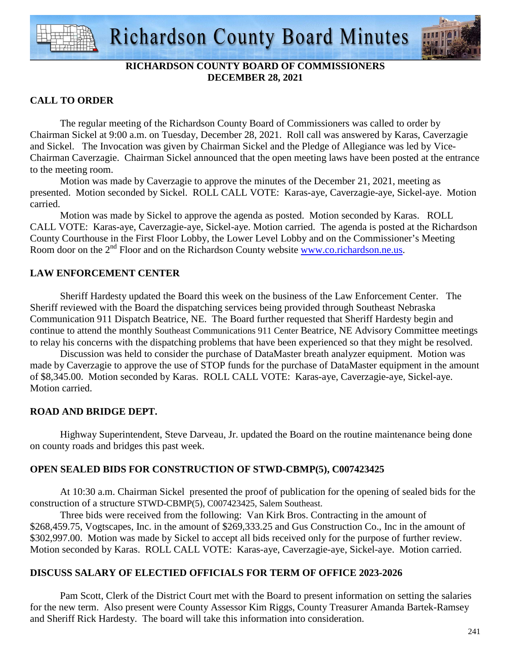

# **RICHARDSON COUNTY BOARD OF COMMISSIONERS DECEMBER 28, 2021**

# **CALL TO ORDER**

 The regular meeting of the Richardson County Board of Commissioners was called to order by Chairman Sickel at 9:00 a.m. on Tuesday, December 28, 2021. Roll call was answered by Karas, Caverzagie and Sickel. The Invocation was given by Chairman Sickel and the Pledge of Allegiance was led by Vice-Chairman Caverzagie. Chairman Sickel announced that the open meeting laws have been posted at the entrance to the meeting room.

 Motion was made by Caverzagie to approve the minutes of the December 21, 2021, meeting as presented. Motion seconded by Sickel. ROLL CALL VOTE: Karas-aye, Caverzagie-aye, Sickel-aye. Motion carried.

 Motion was made by Sickel to approve the agenda as posted. Motion seconded by Karas. ROLL CALL VOTE: Karas-aye, Caverzagie-aye, Sickel-aye. Motion carried. The agenda is posted at the Richardson County Courthouse in the First Floor Lobby, the Lower Level Lobby and on the Commissioner's Meeting Room door on the 2<sup>nd</sup> Floor and on the Richardson County website www.co.richardson.ne.us.

# **LAW ENFORCEMENT CENTER**

 Sheriff Hardesty updated the Board this week on the business of the Law Enforcement Center. The Sheriff reviewed with the Board the dispatching services being provided through Southeast Nebraska Communication 911 Dispatch Beatrice, NE. The Board further requested that Sheriff Hardesty begin and continue to attend the monthly Southeast Communications 911 Center Beatrice, NE Advisory Committee meetings to relay his concerns with the dispatching problems that have been experienced so that they might be resolved.

Discussion was held to consider the purchase of DataMaster breath analyzer equipment. Motion was made by Caverzagie to approve the use of STOP funds for the purchase of DataMaster equipment in the amount of \$8,345.00. Motion seconded by Karas. ROLL CALL VOTE: Karas-aye, Caverzagie-aye, Sickel-aye. Motion carried.

# **ROAD AND BRIDGE DEPT.**

Highway Superintendent, Steve Darveau, Jr. updated the Board on the routine maintenance being done on county roads and bridges this past week.

# **OPEN SEALED BIDS FOR CONSTRUCTION OF STWD-CBMP(5), C007423425**

At 10:30 a.m. Chairman Sickel presented the proof of publication for the opening of sealed bids for the construction of a structure STWD-CBMP(5), C007423425, Salem Southeast.

Three bids were received from the following: Van Kirk Bros. Contracting in the amount of \$268,459.75, Vogtscapes, Inc. in the amount of \$269,333.25 and Gus Construction Co., Inc in the amount of \$302,997.00. Motion was made by Sickel to accept all bids received only for the purpose of further review. Motion seconded by Karas. ROLL CALL VOTE: Karas-aye, Caverzagie-aye, Sickel-aye. Motion carried.

# **DISCUSS SALARY OF ELECTIED OFFICIALS FOR TERM OF OFFICE 2023-2026**

 Pam Scott, Clerk of the District Court met with the Board to present information on setting the salaries for the new term. Also present were County Assessor Kim Riggs, County Treasurer Amanda Bartek-Ramsey and Sheriff Rick Hardesty. The board will take this information into consideration.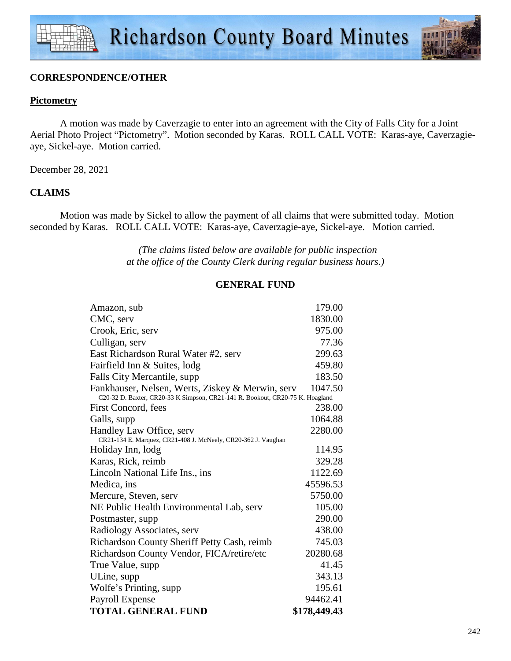

### **CORRESPONDENCE/OTHER**

### **Pictometry**

 A motion was made by Caverzagie to enter into an agreement with the City of Falls City for a Joint Aerial Photo Project "Pictometry". Motion seconded by Karas. ROLL CALL VOTE: Karas-aye, Caverzagieaye, Sickel-aye. Motion carried.

December 28, 2021

## **CLAIMS**

Motion was made by Sickel to allow the payment of all claims that were submitted today. Motion seconded by Karas. ROLL CALL VOTE: Karas-aye, Caverzagie-aye, Sickel-aye. Motion carried.

> *(The claims listed below are available for public inspection at the office of the County Clerk during regular business hours.)*

### **GENERAL FUND**

| Amazon, sub                                                                                                                       | 179.00       |
|-----------------------------------------------------------------------------------------------------------------------------------|--------------|
| CMC, serv                                                                                                                         | 1830.00      |
| Crook, Eric, serv                                                                                                                 | 975.00       |
| Culligan, serv                                                                                                                    | 77.36        |
| East Richardson Rural Water #2, serv                                                                                              | 299.63       |
| Fairfield Inn & Suites, lodg                                                                                                      | 459.80       |
| Falls City Mercantile, supp                                                                                                       | 183.50       |
| Fankhauser, Nelsen, Werts, Ziskey & Merwin, serv<br>C20-32 D. Baxter, CR20-33 K Simpson, CR21-141 R. Bookout, CR20-75 K. Hoagland | 1047.50      |
| First Concord, fees                                                                                                               | 238.00       |
| Galls, supp                                                                                                                       | 1064.88      |
| Handley Law Office, serv                                                                                                          | 2280.00      |
| CR21-134 E. Marquez, CR21-408 J. McNeely, CR20-362 J. Vaughan                                                                     |              |
| Holiday Inn, lodg                                                                                                                 | 114.95       |
| Karas, Rick, reimb                                                                                                                | 329.28       |
| Lincoln National Life Ins., ins.                                                                                                  | 1122.69      |
| Medica, ins                                                                                                                       | 45596.53     |
| Mercure, Steven, serv                                                                                                             | 5750.00      |
| NE Public Health Environmental Lab, serv                                                                                          | 105.00       |
| Postmaster, supp.                                                                                                                 | 290.00       |
| Radiology Associates, serv                                                                                                        | 438.00       |
| Richardson County Sheriff Petty Cash, reimb                                                                                       | 745.03       |
| Richardson County Vendor, FICA/retire/etc                                                                                         | 20280.68     |
| True Value, supp                                                                                                                  | 41.45        |
| ULine, supp                                                                                                                       | 343.13       |
| Wolfe's Printing, supp.                                                                                                           | 195.61       |
| Payroll Expense                                                                                                                   | 94462.41     |
| <b>TOTAL GENERAL FUND</b>                                                                                                         | \$178,449.43 |